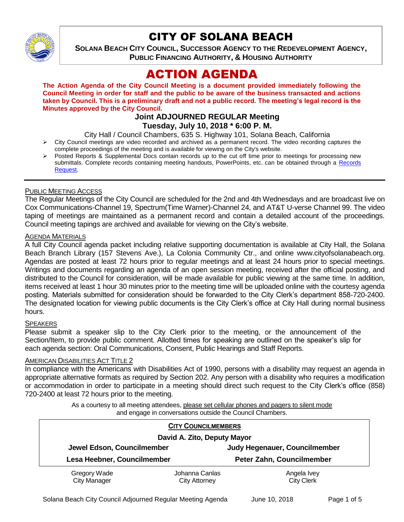

## CITY OF SOLANA BEACH

**SOLANA BEACH CITY COUNCIL, SUCCESSOR AGENCY TO THE REDEVELOPMENT AGENCY, PUBLIC FINANCING AUTHORITY, & HOUSING AUTHORITY** 

# ACTION AGENDA

**The Action Agenda of the City Council Meeting is a document provided immediately following the Council Meeting in order for staff and the public to be aware of the business transacted and actions taken by Council. This is a preliminary draft and not a public record. The meeting's legal record is the Minutes approved by the City Council.**

#### **Joint ADJOURNED REGULAR Meeting Tuesday, July 10, 2018 \* 6:00 P. M.**

City Hall / Council Chambers, 635 S. Highway 101, Solana Beach, California

- $\triangleright$  City Council meetings are video recorded and archived as a permanent record. The video recording captures the complete proceedings of the meeting and is available for viewing on the City's website.
- Posted Reports & Supplemental Docs contain records up to the cut off time prior to meetings for processing new submittals. Complete records containing meeting handouts, PowerPoints, etc. can be obtained through a Records [Request.](http://www.ci.solana-beach.ca.us/index.asp?SEC=F5D45D10-70CE-4291-A27C-7BD633FC6742&Type=B_BASIC)

#### PUBLIC MEETING ACCESS

The Regular Meetings of the City Council are scheduled for the 2nd and 4th Wednesdays and are broadcast live on Cox Communications-Channel 19, Spectrum(Time Warner)-Channel 24, and AT&T U-verse Channel 99. The video taping of meetings are maintained as a permanent record and contain a detailed account of the proceedings. Council meeting tapings are archived and available for viewing on the City's website.

#### AGENDA MATERIALS

A full City Council agenda packet including relative supporting documentation is available at City Hall, the Solana Beach Branch Library (157 Stevens Ave.), La Colonia Community Ctr., and online www.cityofsolanabeach.org. Agendas are posted at least 72 hours prior to regular meetings and at least 24 hours prior to special meetings. Writings and documents regarding an agenda of an open session meeting, received after the official posting, and distributed to the Council for consideration, will be made available for public viewing at the same time. In addition, items received at least 1 hour 30 minutes prior to the meeting time will be uploaded online with the courtesy agenda posting. Materials submitted for consideration should be forwarded to the City Clerk's department 858-720-2400. The designated location for viewing public documents is the City Clerk's office at City Hall during normal business hours.

#### **SPEAKERS**

Please submit a speaker slip to the City Clerk prior to the meeting, or the announcement of the Section/Item, to provide public comment. Allotted times for speaking are outlined on the speaker's slip for each agenda section: Oral Communications, Consent, Public Hearings and Staff Reports.

#### AMERICAN DISABILITIES ACT TITLE 2

In compliance with the Americans with Disabilities Act of 1990, persons with a disability may request an agenda in appropriate alternative formats as required by Section 202. Any person with a disability who requires a modification or accommodation in order to participate in a meeting should direct such request to the City Clerk's office (858) 720-2400 at least 72 hours prior to the meeting.

> As a courtesy to all meeting attendees, please set cellular phones and pagers to silent mode and engage in conversations outside the Council Chambers.

| <b>CITY COUNCILMEMBERS</b>  |                |                               |
|-----------------------------|----------------|-------------------------------|
| David A. Zito, Deputy Mayor |                |                               |
| Jewel Edson, Councilmember  |                | Judy Hegenauer, Councilmember |
| Lesa Heebner, Councilmember |                | Peter Zahn, Councilmember     |
| Gregory Wade                | Johanna Canlas | Angela Ivey                   |
| <b>City Manager</b>         | City Attorney  | <b>City Clerk</b>             |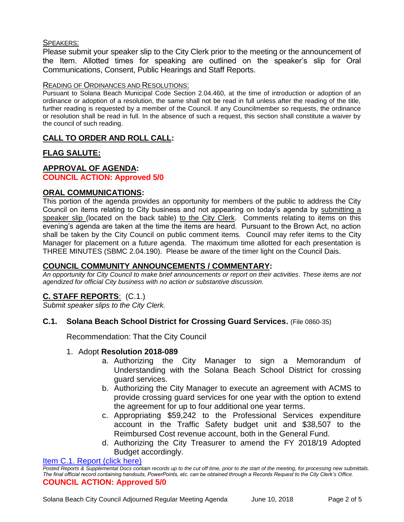#### SPEAKERS:

Please submit your speaker slip to the City Clerk prior to the meeting or the announcement of the Item. Allotted times for speaking are outlined on the speaker's slip for Oral Communications, Consent, Public Hearings and Staff Reports.

#### READING OF ORDINANCES AND RESOLUTIONS:

Pursuant to Solana Beach Municipal Code Section 2.04.460, at the time of introduction or adoption of an ordinance or adoption of a resolution, the same shall not be read in full unless after the reading of the title, further reading is requested by a member of the Council. If any Councilmember so requests, the ordinance or resolution shall be read in full. In the absence of such a request, this section shall constitute a waiver by the council of such reading.

## **CALL TO ORDER AND ROLL CALL:**

## **FLAG SALUTE:**

## **APPROVAL OF AGENDA:**

#### **COUNCIL ACTION: Approved 5/0**

#### **ORAL COMMUNICATIONS:**

This portion of the agenda provides an opportunity for members of the public to address the City Council on items relating to City business and not appearing on today's agenda by submitting a speaker slip (located on the back table) to the City Clerk. Comments relating to items on this evening's agenda are taken at the time the items are heard. Pursuant to the Brown Act, no action shall be taken by the City Council on public comment items. Council may refer items to the City Manager for placement on a future agenda. The maximum time allotted for each presentation is THREE MINUTES (SBMC 2.04.190). Please be aware of the timer light on the Council Dais.

### **COUNCIL COMMUNITY ANNOUNCEMENTS / COMMENTARY:**

*An opportunity for City Council to make brief announcements or report on their activities. These items are not agendized for official City business with no action or substantive discussion.* 

## **C. STAFF REPORTS**: (C.1.)

*Submit speaker slips to the City Clerk.*

### **C.1. Solana Beach School District for Crossing Guard Services.** (File 0860-35)

Recommendation: That the City Council

#### 1. Adopt **Resolution 2018-089**

- a. Authorizing the City Manager to sign a Memorandum of Understanding with the Solana Beach School District for crossing guard services.
- b. Authorizing the City Manager to execute an agreement with ACMS to provide crossing guard services for one year with the option to extend the agreement for up to four additional one year terms.
- c. Appropriating \$59,242 to the Professional Services expenditure account in the Traffic Safety budget unit and \$38,507 to the Reimbursed Cost revenue account, both in the General Fund.
- d. Authorizing the City Treasurer to amend the FY 2018/19 Adopted Budget accordingly.

#### [Item C.1. Report \(click here\)](https://solanabeach.govoffice3.com/vertical/Sites/%7B840804C2-F869-4904-9AE3-720581350CE7%7D/uploads/Item_C.1._Report_(click_here)_-_07-10-18.PDF)

*Posted Reports & Supplemental Docs contain records up to the cut off time, prior to the start of the meeting, for processing new submittals. The final official record containing handouts, PowerPoints, etc. can be obtained through a Records Request to the City Clerk's Office.* **COUNCIL ACTION: Approved 5/0**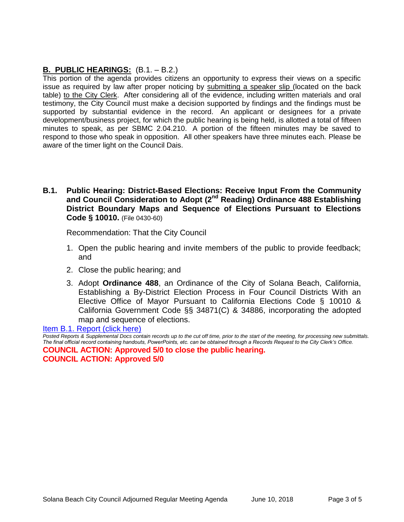## **B. PUBLIC HEARINGS:** (B.1. – B.2.)

This portion of the agenda provides citizens an opportunity to express their views on a specific issue as required by law after proper noticing by submitting a speaker slip (located on the back table) to the City Clerk. After considering all of the evidence, including written materials and oral testimony, the City Council must make a decision supported by findings and the findings must be supported by substantial evidence in the record. An applicant or designees for a private development/business project, for which the public hearing is being held, is allotted a total of fifteen minutes to speak, as per SBMC 2.04.210. A portion of the fifteen minutes may be saved to respond to those who speak in opposition. All other speakers have three minutes each. Please be aware of the timer light on the Council Dais.

**B.1. Public Hearing: District-Based Elections: Receive Input From the Community and Council Consideration to Adopt (2nd Reading) Ordinance 488 Establishing District Boundary Maps and Sequence of Elections Pursuant to Elections Code § 10010.** (File 0430-60)

Recommendation: That the City Council

- 1. Open the public hearing and invite members of the public to provide feedback; and
- 2. Close the public hearing; and
- 3. Adopt **Ordinance 488**, an Ordinance of the City of Solana Beach, California, Establishing a By-District Election Process in Four Council Districts With an Elective Office of Mayor Pursuant to California Elections Code § 10010 & California Government Code §§ 34871(C) & 34886, incorporating the adopted map and sequence of elections.

[Item B.1. Report \(click here\)](https://solanabeach.govoffice3.com/vertical/Sites/%7B840804C2-F869-4904-9AE3-720581350CE7%7D/uploads/Item_B.1._Report_(click_here)_-07-10-18.PDF)

*Posted Reports & Supplemental Docs contain records up to the cut off time, prior to the start of the meeting, for processing new submittals. The final official record containing handouts, PowerPoints, etc. can be obtained through a Records Request to the City Clerk's Office.* **COUNCIL ACTION: Approved 5/0 to close the public hearing. COUNCIL ACTION: Approved 5/0**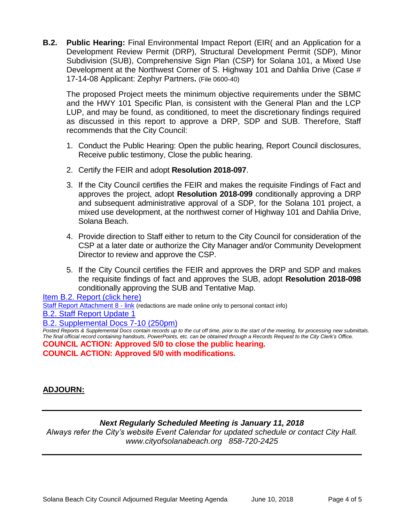**B.2. Public Hearing:** Final Environmental Impact Report (EIR( and an Application for a Development Review Permit (DRP), Structural Development Permit (SDP), Minor Subdivision (SUB), Comprehensive Sign Plan (CSP) for Solana 101, a Mixed Use Development at the Northwest Corner of S. Highway 101 and Dahlia Drive (Case # 17-14-08 Applicant: Zephyr Partners**.** (File 0600-40)

The proposed Project meets the minimum objective requirements under the SBMC and the HWY 101 Specific Plan, is consistent with the General Plan and the LCP LUP, and may be found, as conditioned, to meet the discretionary findings required as discussed in this report to approve a DRP, SDP and SUB. Therefore, Staff recommends that the City Council:

- 1. Conduct the Public Hearing: Open the public hearing, Report Council disclosures, Receive public testimony, Close the public hearing.
- 2. Certify the FEIR and adopt **Resolution 2018-097**.
- 3. If the City Council certifies the FEIR and makes the requisite Findings of Fact and approves the project, adopt **Resolution 2018-099** conditionally approving a DRP and subsequent administrative approval of a SDP, for the Solana 101 project, a mixed use development, at the northwest corner of Highway 101 and Dahlia Drive, Solana Beach.
- 4. Provide direction to Staff either to return to the City Council for consideration of the CSP at a later date or authorize the City Manager and/or Community Development Director to review and approve the CSP.
- 5. If the City Council certifies the FEIR and approves the DRP and SDP and makes the requisite findings of fact and approves the SUB, adopt **Resolution 2018-098** conditionally approving the SUB and Tentative Map.

[Item B.2. Report \(click here\)](https://solanabeach.govoffice3.com/vertical/Sites/%7B840804C2-F869-4904-9AE3-720581350CE7%7D/uploads/Item_B.2._Report_(click_here)_07-10-18.PDF) [Staff Report Attachment 8](https://www.ci.solana-beach.ca.us/index.asp?SEC=7943F4CE-CD64-4918-A548-692BE1DA6C55&DE=6F5E137D-CD53-42ED-A47E-3FC4CAD52C81&Type=B_BASIC) - link (redactions are made online only to personal contact info) [B.2. Staff Report Update 1](https://solanabeach.govoffice3.com/vertical/Sites/%7B840804C2-F869-4904-9AE3-720581350CE7%7D/uploads/B.2._Staff_Report_Update_1_(7-10_830am).pdf)

#### [B.2. Supplemental Docs 7-10](https://solanabeach.govoffice3.com/vertical/Sites/%7B840804C2-F869-4904-9AE3-720581350CE7%7D/uploads/B.2._Supplemental_Docs_7-10_(250pm).pdf) (250pm)

*Posted Reports & Supplemental Docs contain records up to the cut off time, prior to the start of the meeting, for processing new submittals. The final official record containing handouts, PowerPoints, etc. can be obtained through a Records Request to the City Clerk's Office.* **COUNCIL ACTION: Approved 5/0 to close the public hearing.**

**COUNCIL ACTION: Approved 5/0 with modifications.** 

## **ADJOURN:**

## *Next Regularly Scheduled Meeting is January 11, 2018*

*Always refer the City's website Event Calendar for updated schedule or contact City Hall. www.cityofsolanabeach.org 858-720-2425*